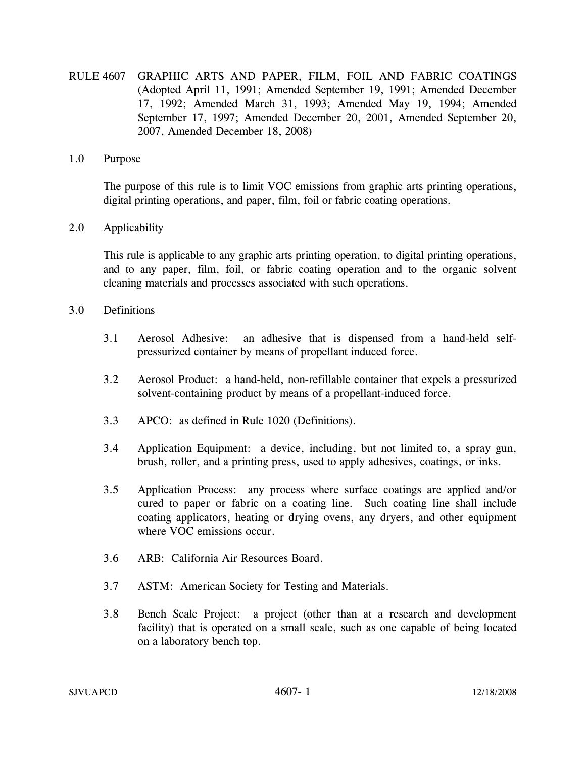RULE 4607 GRAPHIC ARTS AND PAPER, FILM, FOIL AND FABRIC COATINGS (Adopted April 11, 1991; Amended September 19, 1991; Amended December 17, 1992; Amended March 31, 1993; Amended May 19, 1994; Amended September 17, 1997; Amended December 20, 2001, Amended September 20, 2007, Amended December 18, 2008)

### 1.0 Purpose

The purpose of this rule is to limit VOC emissions from graphic arts printing operations, digital printing operations, and paper, film, foil or fabric coating operations.

### 2.0 Applicability

This rule is applicable to any graphic arts printing operation, to digital printing operations, and to any paper, film, foil, or fabric coating operation and to the organic solvent cleaning materials and processes associated with such operations.

### 3.0 Definitions

- 3.1 Aerosol Adhesive: an adhesive that is dispensed from a hand-held selfpressurized container by means of propellant induced force.
- 3.2 Aerosol Product: a hand-held, non-refillable container that expels a pressurized solvent-containing product by means of a propellant-induced force.
- 3.3 APCO: as defined in Rule 1020 (Definitions).
- 3.4 Application Equipment: a device, including, but not limited to, a spray gun, brush, roller, and a printing press, used to apply adhesives, coatings, or inks.
- 3.5 Application Process: any process where surface coatings are applied and/or cured to paper or fabric on a coating line. Such coating line shall include coating applicators, heating or drying ovens, any dryers, and other equipment where VOC emissions occur.
- 3.6 ARB: California Air Resources Board.
- 3.7 ASTM: American Society for Testing and Materials.
- 3.8 Bench Scale Project: a project (other than at a research and development facility) that is operated on a small scale, such as one capable of being located on a laboratory bench top.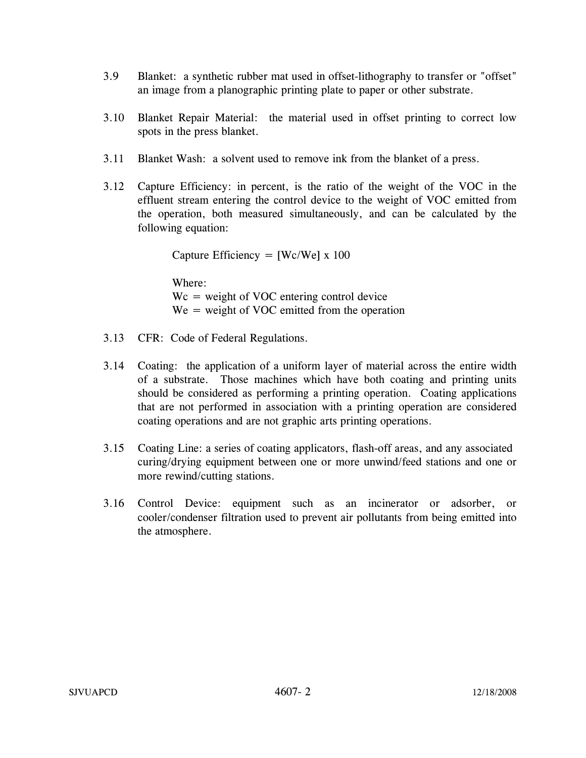- 3.9 Blanket: a synthetic rubber mat used in offset-lithography to transfer or "offset" an image from a planographic printing plate to paper or other substrate.
- 3.10 Blanket Repair Material: the material used in offset printing to correct low spots in the press blanket.
- 3.11 Blanket Wash: a solvent used to remove ink from the blanket of a press.
- 3.12 Capture Efficiency: in percent, is the ratio of the weight of the VOC in the effluent stream entering the control device to the weight of VOC emitted from the operation, both measured simultaneously, and can be calculated by the following equation:

Capture Efficiency =  $[We/We] \times 100$ 

Where:  $Wc$  = weight of VOC entering control device  $We = weight of VOC$  emitted from the operation

- 3.13 CFR: Code of Federal Regulations.
- 3.14 Coating: the application of a uniform layer of material across the entire width of a substrate. Those machines which have both coating and printing units should be considered as performing a printing operation. Coating applications that are not performed in association with a printing operation are considered coating operations and are not graphic arts printing operations.
- 3.15 Coating Line: a series of coating applicators, flash-off areas, and any associated curing/drying equipment between one or more unwind/feed stations and one or more rewind/cutting stations.
- 3.16 Control Device: equipment such as an incinerator or adsorber, or cooler/condenser filtration used to prevent air pollutants from being emitted into the atmosphere.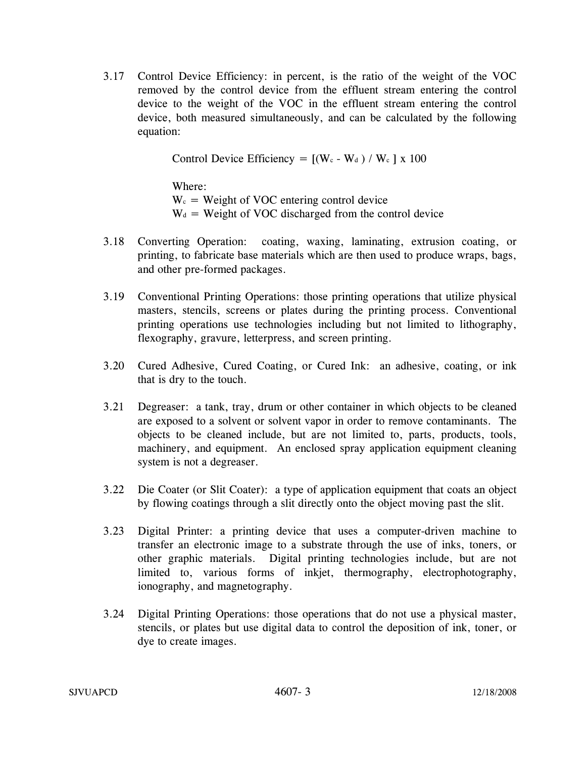3.17 Control Device Efficiency: in percent, is the ratio of the weight of the VOC removed by the control device from the effluent stream entering the control device to the weight of the VOC in the effluent stream entering the control device, both measured simultaneously, and can be calculated by the following equation:

Control Device Efficiency =  $[(W_c - W_d) / W_c] x 100$ 

Where:  $W_c$  = Weight of VOC entering control device  $W_d$  = Weight of VOC discharged from the control device

- 3.18 Converting Operation: coating, waxing, laminating, extrusion coating, or printing, to fabricate base materials which are then used to produce wraps, bags, and other pre-formed packages.
- 3.19 Conventional Printing Operations: those printing operations that utilize physical masters, stencils, screens or plates during the printing process. Conventional printing operations use technologies including but not limited to lithography, flexography, gravure, letterpress, and screen printing.
- 3.20 Cured Adhesive, Cured Coating, or Cured Ink: an adhesive, coating, or ink that is dry to the touch.
- 3.21 Degreaser: a tank, tray, drum or other container in which objects to be cleaned are exposed to a solvent or solvent vapor in order to remove contaminants. The objects to be cleaned include, but are not limited to, parts, products, tools, machinery, and equipment. An enclosed spray application equipment cleaning system is not a degreaser.
- 3.22 Die Coater (or Slit Coater): a type of application equipment that coats an object by flowing coatings through a slit directly onto the object moving past the slit.
- 3.23 Digital Printer: a printing device that uses a computer-driven machine to transfer an electronic image to a substrate through the use of inks, toners, or other graphic materials. Digital printing technologies include, but are not limited to, various forms of inkjet, thermography, electrophotography, ionography, and magnetography.
- 3.24 Digital Printing Operations: those operations that do not use a physical master, stencils, or plates but use digital data to control the deposition of ink, toner, or dye to create images.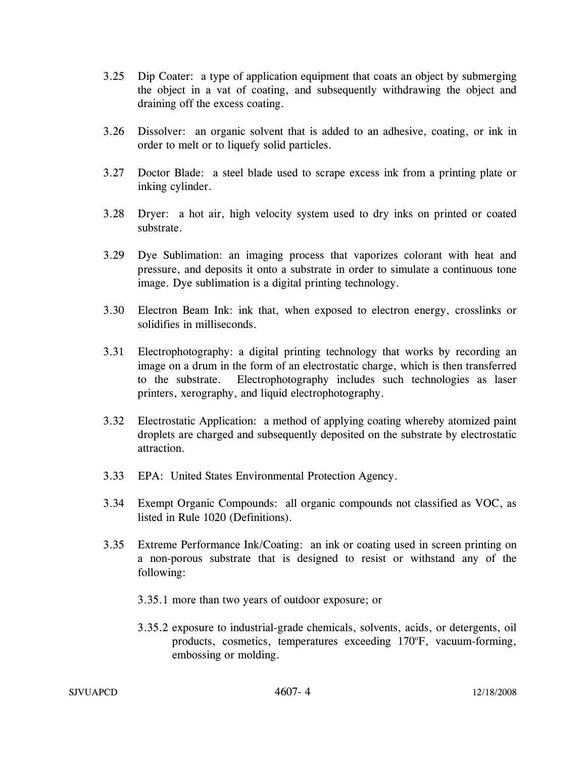- 3.25 Dip Coater: a type of application equipment that coats an object by submerging the object in a vat of coating, and subsequently withdrawing the object and draining off the excess coating.
- 3.26 Dissolver: an organic solvent that is added to an adhesive, coating, or ink in order to melt or to liquefy solid particles.
- 3.27 Doctor Blade: a steel blade used to scrape excess ink from a printing plate or inking cylinder.
- 3.28 Dryer: a hot air, high velocity system used to dry inks on printed or coated substrate.
- 3.29 Dye Sublimation: an imaging process that vaporizes colorant with heat and pressure, and deposits it onto a substrate in order to simulate a continuous tone image. Dye sublimation is a digital printing technology.
- 3.30 Electron Beam Ink: ink that, when exposed to electron energy, crosslinks or solidifies in milliseconds.
- 3.31 Electrophotography: a digital printing technology that works by recording an image on a drum in the form of an electrostatic charge, which is then transferred to the substrate. Electrophotography includes such technologies as laser printers, xerography, and liquid electrophotography.
- 3.32 Electrostatic Application: a method of applying coating whereby atomized paint droplets are charged and subsequently deposited on the substrate by electrostatic attraction.
- 3.33 EPA: United States Environmental Protection Agency.
- 3.34 Exempt Organic Compounds: all organic compounds not classified as VOC, as listed in Rule 1020 (Definitions).
- 3.35 Extreme Performance Ink/Coating: an ink or coating used in screen printing on a non-porous substrate that is designed to resist or withstand any of the following:
	- 3.35.1 more than two years of outdoor exposure; or
	- 3.35.2 exposure to industrial-grade chemicals, solvents, acids, or detergents, oil products, cosmetics, temperatures exceeding 170°F, vacuum-forming, embossing or molding.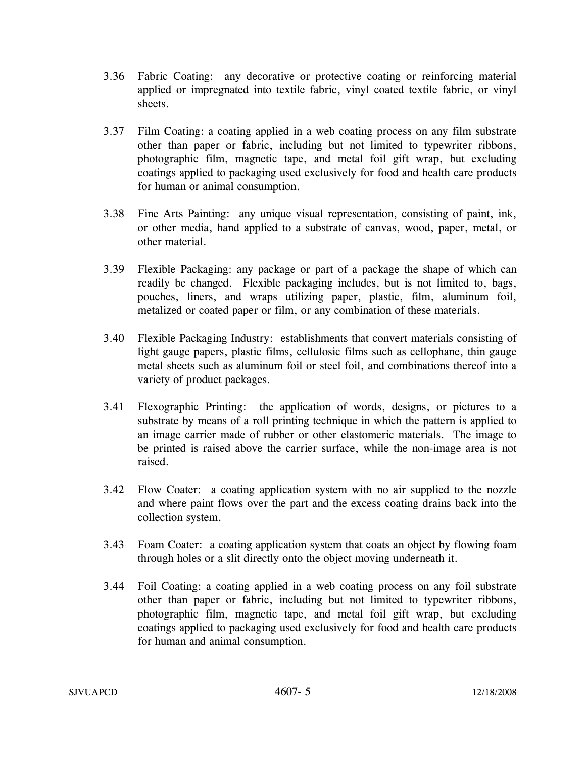- 3.36 Fabric Coating: any decorative or protective coating or reinforcing material applied or impregnated into textile fabric, vinyl coated textile fabric, or vinyl sheets.
- 3.37 Film Coating: a coating applied in a web coating process on any film substrate other than paper or fabric, including but not limited to typewriter ribbons, photographic film, magnetic tape, and metal foil gift wrap, but excluding coatings applied to packaging used exclusively for food and health care products for human or animal consumption.
- 3.38 Fine Arts Painting: any unique visual representation, consisting of paint, ink, or other media, hand applied to a substrate of canvas, wood, paper, metal, or other material.
- 3.39 Flexible Packaging: any package or part of a package the shape of which can readily be changed. Flexible packaging includes, but is not limited to, bags, pouches, liners, and wraps utilizing paper, plastic, film, aluminum foil, metalized or coated paper or film, or any combination of these materials.
- 3.40 Flexible Packaging Industry: establishments that convert materials consisting of light gauge papers, plastic films, cellulosic films such as cellophane, thin gauge metal sheets such as aluminum foil or steel foil, and combinations thereof into a variety of product packages.
- 3.41 Flexographic Printing: the application of words, designs, or pictures to a substrate by means of a roll printing technique in which the pattern is applied to an image carrier made of rubber or other elastomeric materials. The image to be printed is raised above the carrier surface, while the non-image area is not raised.
- 3.42 Flow Coater: a coating application system with no air supplied to the nozzle and where paint flows over the part and the excess coating drains back into the collection system.
- 3.43 Foam Coater: a coating application system that coats an object by flowing foam through holes or a slit directly onto the object moving underneath it.
- 3.44 Foil Coating: a coating applied in a web coating process on any foil substrate other than paper or fabric, including but not limited to typewriter ribbons, photographic film, magnetic tape, and metal foil gift wrap, but excluding coatings applied to packaging used exclusively for food and health care products for human and animal consumption.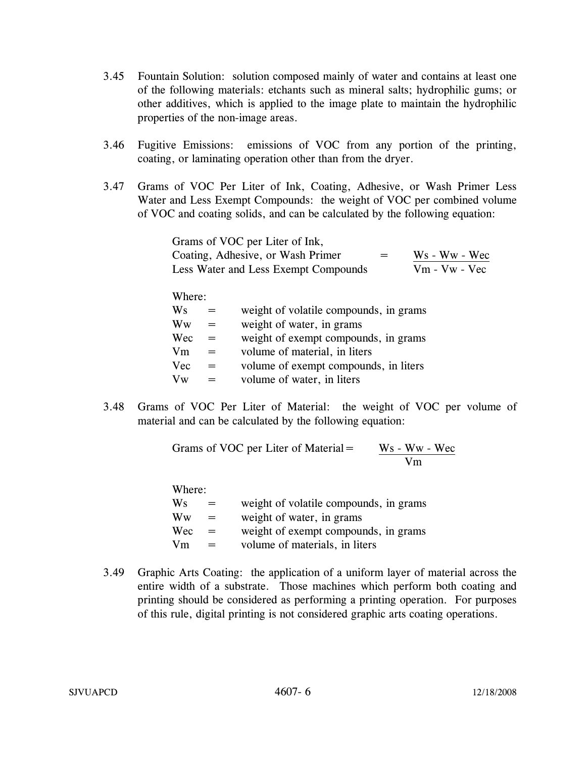- 3.45 Fountain Solution: solution composed mainly of water and contains at least one of the following materials: etchants such as mineral salts; hydrophilic gums; or other additives, which is applied to the image plate to maintain the hydrophilic properties of the non-image areas.
- 3.46 Fugitive Emissions: emissions of VOC from any portion of the printing, coating, or laminating operation other than from the dryer.
- 3.47 Grams of VOC Per Liter of Ink, Coating, Adhesive, or Wash Primer Less Water and Less Exempt Compounds: the weight of VOC per combined volume of VOC and coating solids, and can be calculated by the following equation:

| Grams of VOC per Liter of Ink,       |     |                 |
|--------------------------------------|-----|-----------------|
| Coating, Adhesive, or Wash Primer    | $=$ | Ws - Ww - Wec   |
| Less Water and Less Exempt Compounds |     | $Vm - Vw - Vec$ |

Where:

| Ws         | $=$ | weight of volatile compounds, in grams |
|------------|-----|----------------------------------------|
| Ww         | $=$ | weight of water, in grams              |
| Wec        | $=$ | weight of exempt compounds, in grams   |
| Vm         | $=$ | volume of material, in liters          |
| <b>Vec</b> | $=$ | volume of exempt compounds, in liters  |
| Vw         |     | volume of water, in liters             |

3.48 Grams of VOC Per Liter of Material: the weight of VOC per volume of material and can be calculated by the following equation:

> Grams of VOC per Liter of Material  $=$  $\frac{Ws - Ww - Wec}{Vm}$

Where:

| 11 ILUI U. |     |                                        |
|------------|-----|----------------------------------------|
| Ws         | $=$ | weight of volatile compounds, in grams |
| Ww         | $=$ | weight of water, in grams              |
| Wec        | $=$ | weight of exempt compounds, in grams   |
| Vm         | $=$ | volume of materials, in liters         |
|            |     |                                        |

3.49 Graphic Arts Coating: the application of a uniform layer of material across the entire width of a substrate. Those machines which perform both coating and printing should be considered as performing a printing operation. For purposes of this rule, digital printing is not considered graphic arts coating operations.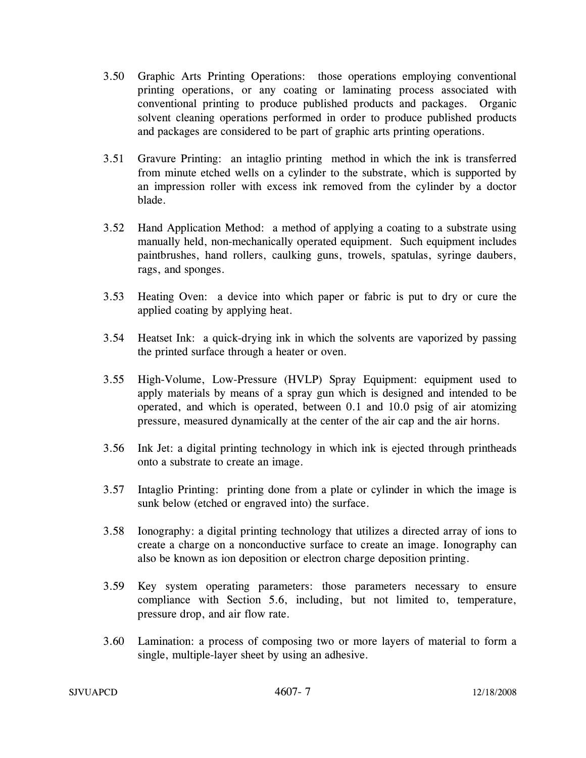- 3.50 Graphic Arts Printing Operations: those operations employing conventional printing operations, or any coating or laminating process associated with conventional printing to produce published products and packages. Organic solvent cleaning operations performed in order to produce published products and packages are considered to be part of graphic arts printing operations.
- 3.51 Gravure Printing: an intaglio printing method in which the ink is transferred from minute etched wells on a cylinder to the substrate, which is supported by an impression roller with excess ink removed from the cylinder by a doctor blade.
- 3.52 Hand Application Method: a method of applying a coating to a substrate using manually held, non-mechanically operated equipment. Such equipment includes paintbrushes, hand rollers, caulking guns, trowels, spatulas, syringe daubers, rags, and sponges.
- 3.53 Heating Oven: a device into which paper or fabric is put to dry or cure the applied coating by applying heat.
- 3.54 Heatset Ink: a quick-drying ink in which the solvents are vaporized by passing the printed surface through a heater or oven.
- 3.55 High-Volume, Low-Pressure (HVLP) Spray Equipment: equipment used to apply materials by means of a spray gun which is designed and intended to be operated, and which is operated, between 0.1 and 10.0 psig of air atomizing pressure, measured dynamically at the center of the air cap and the air horns.
- 3.56 Ink Jet: a digital printing technology in which ink is ejected through printheads onto a substrate to create an image.
- 3.57 Intaglio Printing: printing done from a plate or cylinder in which the image is sunk below (etched or engraved into) the surface.
- 3.58 Ionography: a digital printing technology that utilizes a directed array of ions to create a charge on a nonconductive surface to create an image. Ionography can also be known as ion deposition or electron charge deposition printing.
- 3.59 Key system operating parameters: those parameters necessary to ensure compliance with Section 5.6, including, but not limited to, temperature, pressure drop, and air flow rate.
- 3.60 Lamination: a process of composing two or more layers of material to form a single, multiple-layer sheet by using an adhesive.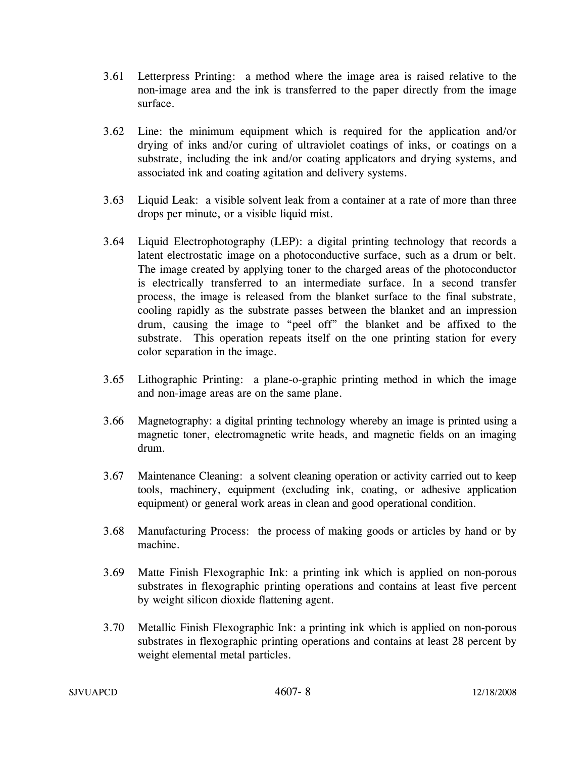- 3.61 Letterpress Printing: a method where the image area is raised relative to the non-image area and the ink is transferred to the paper directly from the image surface.
- 3.62 Line: the minimum equipment which is required for the application and/or drying of inks and/or curing of ultraviolet coatings of inks, or coatings on a substrate, including the ink and/or coating applicators and drying systems, and associated ink and coating agitation and delivery systems.
- 3.63 Liquid Leak: a visible solvent leak from a container at a rate of more than three drops per minute, or a visible liquid mist.
- 3.64 Liquid Electrophotography (LEP): a digital printing technology that records a latent electrostatic image on a photoconductive surface, such as a drum or belt. The image created by applying toner to the charged areas of the photoconductor is electrically transferred to an intermediate surface. In a second transfer process, the image is released from the blanket surface to the final substrate, cooling rapidly as the substrate passes between the blanket and an impression drum, causing the image to "peel off" the blanket and be affixed to the substrate. This operation repeats itself on the one printing station for every color separation in the image.
- 3.65 Lithographic Printing: a plane-o-graphic printing method in which the image and non-image areas are on the same plane.
- 3.66 Magnetography: a digital printing technology whereby an image is printed using a magnetic toner, electromagnetic write heads, and magnetic fields on an imaging drum.
- 3.67 Maintenance Cleaning: a solvent cleaning operation or activity carried out to keep tools, machinery, equipment (excluding ink, coating, or adhesive application equipment) or general work areas in clean and good operational condition.
- 3.68 Manufacturing Process: the process of making goods or articles by hand or by machine.
- 3.69 Matte Finish Flexographic Ink: a printing ink which is applied on non-porous substrates in flexographic printing operations and contains at least five percent by weight silicon dioxide flattening agent.
- 3.70 Metallic Finish Flexographic Ink: a printing ink which is applied on non-porous substrates in flexographic printing operations and contains at least 28 percent by weight elemental metal particles.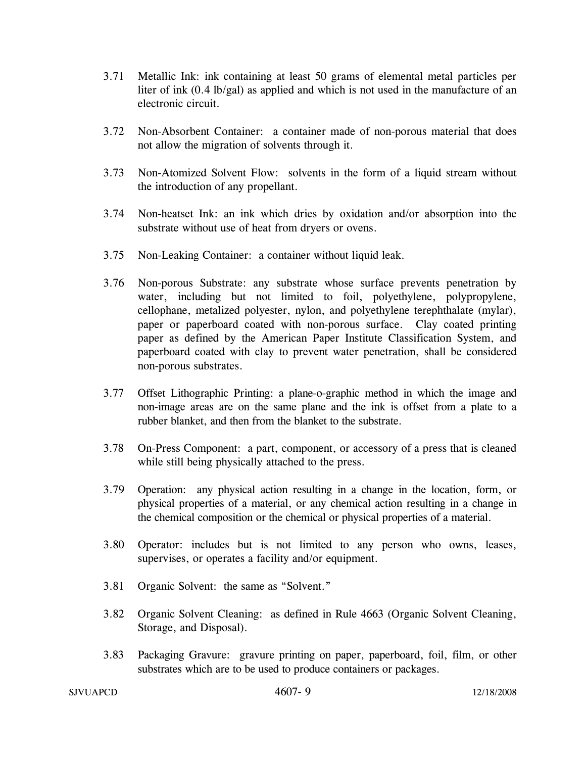- 3.71 Metallic Ink: ink containing at least 50 grams of elemental metal particles per liter of ink (0.4 lb/gal) as applied and which is not used in the manufacture of an electronic circuit.
- 3.72 Non-Absorbent Container: a container made of non-porous material that does not allow the migration of solvents through it.
- 3.73 Non-Atomized Solvent Flow: solvents in the form of a liquid stream without the introduction of any propellant.
- 3.74 Non-heatset Ink: an ink which dries by oxidation and/or absorption into the substrate without use of heat from dryers or ovens.
- 3.75 Non-Leaking Container: a container without liquid leak.
- 3.76 Non-porous Substrate: any substrate whose surface prevents penetration by water, including but not limited to foil, polyethylene, polypropylene, cellophane, metalized polyester, nylon, and polyethylene terephthalate (mylar), paper or paperboard coated with non-porous surface. Clay coated printing paper as defined by the American Paper Institute Classification System, and paperboard coated with clay to prevent water penetration, shall be considered non-porous substrates.
- 3.77 Offset Lithographic Printing: a plane-o-graphic method in which the image and non-image areas are on the same plane and the ink is offset from a plate to a rubber blanket, and then from the blanket to the substrate.
- 3.78 On-Press Component: a part, component, or accessory of a press that is cleaned while still being physically attached to the press.
- 3.79 Operation: any physical action resulting in a change in the location, form, or physical properties of a material, or any chemical action resulting in a change in the chemical composition or the chemical or physical properties of a material.
- 3.80 Operator: includes but is not limited to any person who owns, leases, supervises, or operates a facility and/or equipment.
- 3.81 Organic Solvent: the same as "Solvent."
- 3.82 Organic Solvent Cleaning: as defined in Rule 4663 (Organic Solvent Cleaning, Storage, and Disposal).
- 3.83 Packaging Gravure: gravure printing on paper, paperboard, foil, film, or other substrates which are to be used to produce containers or packages.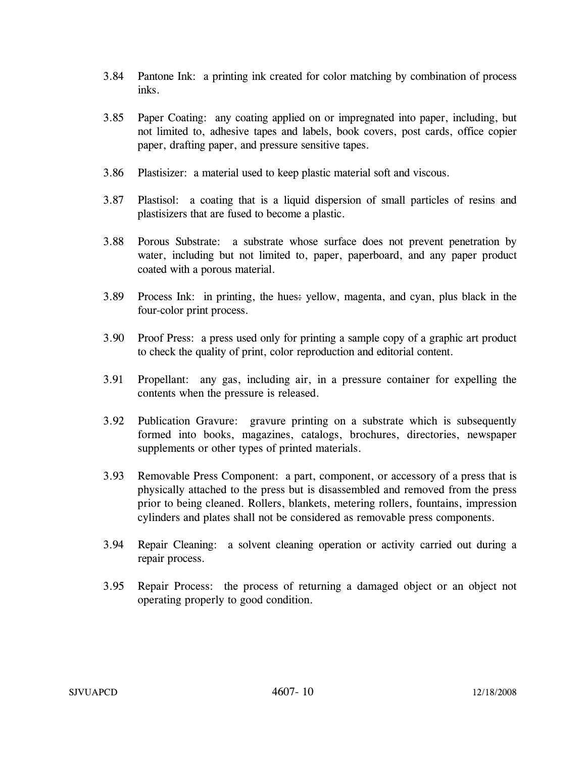- 3.84 Pantone Ink: a printing ink created for color matching by combination of process inks.
- 3.85 Paper Coating: any coating applied on or impregnated into paper, including, but not limited to, adhesive tapes and labels, book covers, post cards, office copier paper, drafting paper, and pressure sensitive tapes.
- 3.86 Plastisizer: a material used to keep plastic material soft and viscous.
- 3.87 Plastisol: a coating that is a liquid dispersion of small particles of resins and plastisizers that are fused to become a plastic.
- 3.88 Porous Substrate: a substrate whose surface does not prevent penetration by water, including but not limited to, paper, paperboard, and any paper product coated with a porous material.
- 3.89 Process Ink: in printing, the hues: yellow, magenta, and cyan, plus black in the four-color print process.
- 3.90 Proof Press: a press used only for printing a sample copy of a graphic art product to check the quality of print, color reproduction and editorial content.
- 3.91 Propellant: any gas, including air, in a pressure container for expelling the contents when the pressure is released.
- 3.92 Publication Gravure: gravure printing on a substrate which is subsequently formed into books, magazines, catalogs, brochures, directories, newspaper supplements or other types of printed materials.
- 3.93 Removable Press Component: a part, component, or accessory of a press that is physically attached to the press but is disassembled and removed from the press prior to being cleaned. Rollers, blankets, metering rollers, fountains, impression cylinders and plates shall not be considered as removable press components.
- 3.94 Repair Cleaning: a solvent cleaning operation or activity carried out during a repair process.
- 3.95 Repair Process: the process of returning a damaged object or an object not operating properly to good condition.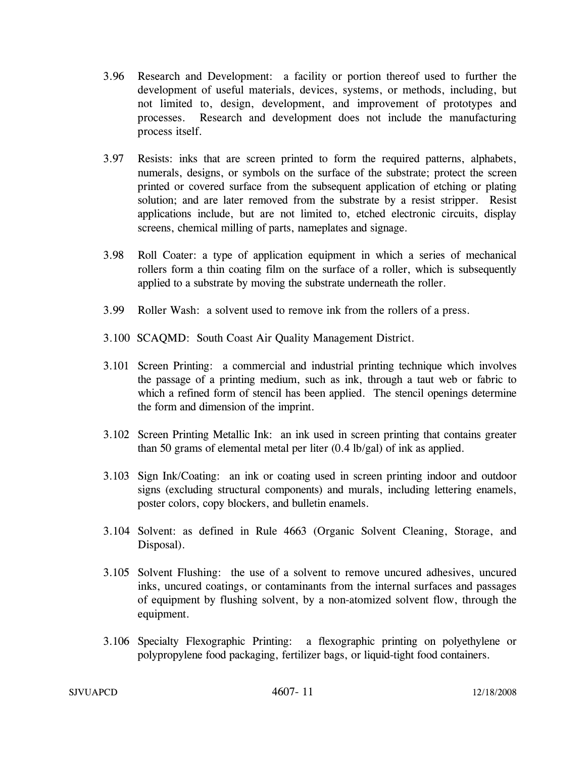- 3.96 Research and Development: a facility or portion thereof used to further the development of useful materials, devices, systems, or methods, including, but not limited to, design, development, and improvement of prototypes and processes. Research and development does not include the manufacturing process itself.
- 3.97 Resists: inks that are screen printed to form the required patterns, alphabets, numerals, designs, or symbols on the surface of the substrate; protect the screen printed or covered surface from the subsequent application of etching or plating solution; and are later removed from the substrate by a resist stripper. Resist applications include, but are not limited to, etched electronic circuits, display screens, chemical milling of parts, nameplates and signage.
- 3.98 Roll Coater: a type of application equipment in which a series of mechanical rollers form a thin coating film on the surface of a roller, which is subsequently applied to a substrate by moving the substrate underneath the roller.
- 3.99 Roller Wash: a solvent used to remove ink from the rollers of a press.
- 3.100 SCAQMD: South Coast Air Quality Management District.
- 3.101 Screen Printing: a commercial and industrial printing technique which involves the passage of a printing medium, such as ink, through a taut web or fabric to which a refined form of stencil has been applied. The stencil openings determine the form and dimension of the imprint.
- 3.102 Screen Printing Metallic Ink: an ink used in screen printing that contains greater than 50 grams of elemental metal per liter  $(0.4 \text{ lb/gal})$  of ink as applied.
- 3.103 Sign Ink/Coating: an ink or coating used in screen printing indoor and outdoor signs (excluding structural components) and murals, including lettering enamels, poster colors, copy blockers, and bulletin enamels.
- 3.104 Solvent: as defined in Rule 4663 (Organic Solvent Cleaning, Storage, and Disposal).
- 3.105 Solvent Flushing: the use of a solvent to remove uncured adhesives, uncured inks, uncured coatings, or contaminants from the internal surfaces and passages of equipment by flushing solvent, by a non-atomized solvent flow, through the equipment.
- 3.106 Specialty Flexographic Printing: a flexographic printing on polyethylene or polypropylene food packaging, fertilizer bags, or liquid-tight food containers.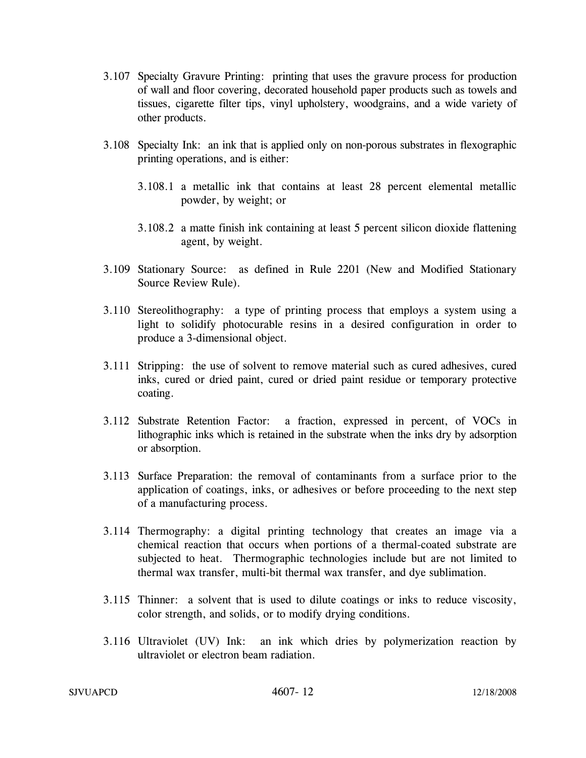- 3.107 Specialty Gravure Printing: printing that uses the gravure process for production of wall and floor covering, decorated household paper products such as towels and tissues, cigarette filter tips, vinyl upholstery, woodgrains, and a wide variety of other products.
- 3.108 Specialty Ink: an ink that is applied only on non-porous substrates in flexographic printing operations, and is either:
	- 3.108.1 a metallic ink that contains at least 28 percent elemental metallic powder, by weight; or
	- 3.108.2 a matte finish ink containing at least 5 percent silicon dioxide flattening agent, by weight.
- 3.109 Stationary Source: as defined in Rule 2201 (New and Modified Stationary Source Review Rule).
- 3.110 Stereolithography: a type of printing process that employs a system using a light to solidify photocurable resins in a desired configuration in order to produce a 3-dimensional object.
- 3.111 Stripping: the use of solvent to remove material such as cured adhesives, cured inks, cured or dried paint, cured or dried paint residue or temporary protective coating.
- 3.112 Substrate Retention Factor: a fraction, expressed in percent, of VOCs in lithographic inks which is retained in the substrate when the inks dry by adsorption or absorption.
- 3.113 Surface Preparation: the removal of contaminants from a surface prior to the application of coatings, inks, or adhesives or before proceeding to the next step of a manufacturing process.
- 3.114 Thermography: a digital printing technology that creates an image via a chemical reaction that occurs when portions of a thermal-coated substrate are subjected to heat. Thermographic technologies include but are not limited to thermal wax transfer, multi-bit thermal wax transfer, and dye sublimation.
- 3.115 Thinner: a solvent that is used to dilute coatings or inks to reduce viscosity, color strength, and solids, or to modify drying conditions.
- 3.116 Ultraviolet (UV) Ink: an ink which dries by polymerization reaction by ultraviolet or electron beam radiation.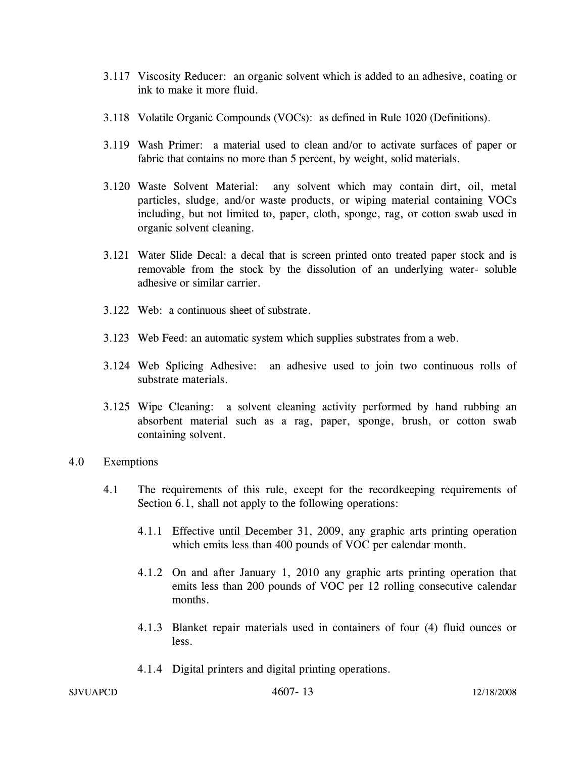- 3.117 Viscosity Reducer: an organic solvent which is added to an adhesive, coating or ink to make it more fluid.
- 3.118 Volatile Organic Compounds (VOCs): as defined in Rule 1020 (Definitions).
- 3.119 Wash Primer: a material used to clean and/or to activate surfaces of paper or fabric that contains no more than 5 percent, by weight, solid materials.
- 3.120 Waste Solvent Material: any solvent which may contain dirt, oil, metal particles, sludge, and/or waste products, or wiping material containing VOCs including, but not limited to, paper, cloth, sponge, rag, or cotton swab used in organic solvent cleaning.
- 3.121 Water Slide Decal: a decal that is screen printed onto treated paper stock and is removable from the stock by the dissolution of an underlying water- soluble adhesive or similar carrier.
- 3.122 Web: a continuous sheet of substrate.
- 3.123 Web Feed: an automatic system which supplies substrates from a web.
- 3.124 Web Splicing Adhesive: an adhesive used to join two continuous rolls of substrate materials.
- 3.125 Wipe Cleaning: a solvent cleaning activity performed by hand rubbing an absorbent material such as a rag, paper, sponge, brush, or cotton swab containing solvent.
- 4.0 Exemptions
	- 4.1 The requirements of this rule, except for the recordkeeping requirements of Section 6.1, shall not apply to the following operations:
		- 4.1.1 Effective until December 31, 2009, any graphic arts printing operation which emits less than 400 pounds of VOC per calendar month.
		- 4.1.2 On and after January 1, 2010 any graphic arts printing operation that emits less than 200 pounds of VOC per 12 rolling consecutive calendar months.
		- 4.1.3 Blanket repair materials used in containers of four (4) fluid ounces or less.
		- 4.1.4 Digital printers and digital printing operations.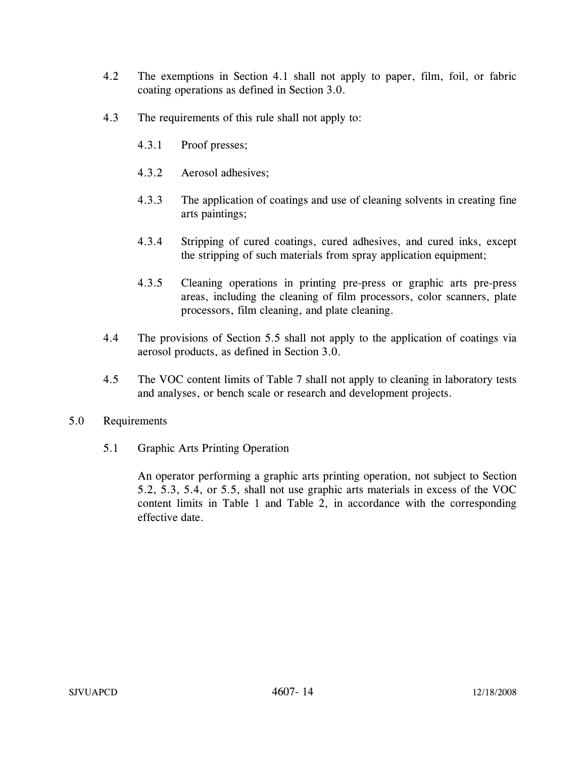- 4.2 The exemptions in Section 4.1 shall not apply to paper, film, foil, or fabric coating operations as defined in Section 3.0.
- 4.3 The requirements of this rule shall not apply to:
	- 4.3.1 Proof presses;
	- 4.3.2 Aerosol adhesives;
	- 4.3.3 The application of coatings and use of cleaning solvents in creating fine arts paintings;
	- 4.3.4 Stripping of cured coatings, cured adhesives, and cured inks, except the stripping of such materials from spray application equipment;
	- 4.3.5 Cleaning operations in printing pre-press or graphic arts pre-press areas, including the cleaning of film processors, color scanners, plate processors, film cleaning, and plate cleaning.
- 4.4 The provisions of Section 5.5 shall not apply to the application of coatings via aerosol products, as defined in Section 3.0.
- 4.5 The VOC content limits of Table 7 shall not apply to cleaning in laboratory tests and analyses, or bench scale or research and development projects.
- 5.0 Requirements
	- 5.1 Graphic Arts Printing Operation

An operator performing a graphic arts printing operation, not subject to Section 5.2, 5.3, 5.4, or 5.5, shall not use graphic arts materials in excess of the VOC content limits in Table 1 and Table 2, in accordance with the corresponding effective date.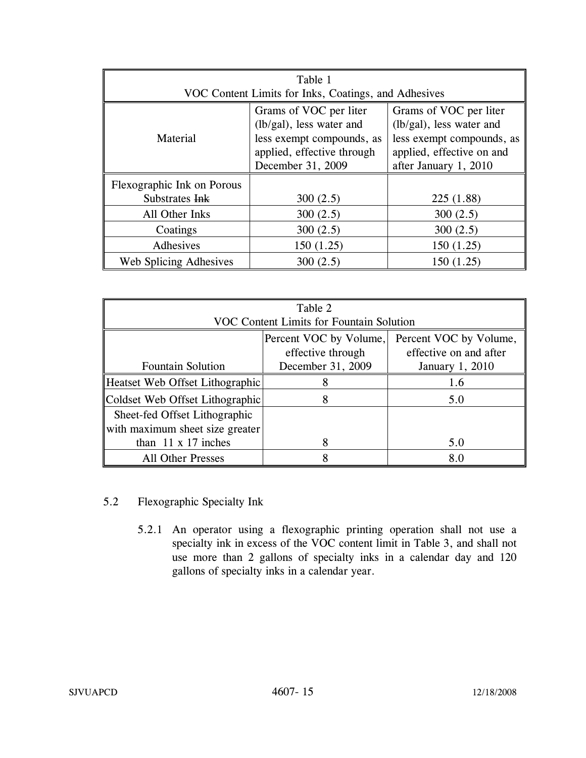| Table 1                    |                                                       |                                                       |  |  |  |  |
|----------------------------|-------------------------------------------------------|-------------------------------------------------------|--|--|--|--|
|                            | VOC Content Limits for Inks, Coatings, and Adhesives  |                                                       |  |  |  |  |
|                            | Grams of VOC per liter                                | Grams of VOC per liter                                |  |  |  |  |
| Material                   | (lb/gal), less water and<br>less exempt compounds, as | (lb/gal), less water and<br>less exempt compounds, as |  |  |  |  |
|                            | applied, effective through                            | applied, effective on and                             |  |  |  |  |
|                            | December 31, 2009                                     | after January 1, 2010                                 |  |  |  |  |
| Flexographic Ink on Porous |                                                       |                                                       |  |  |  |  |
| Substrates Ink             | 300(2.5)                                              | 225(1.88)                                             |  |  |  |  |
| All Other Inks             | 300(2.5)                                              | 300(2.5)                                              |  |  |  |  |
| Coatings                   | 300(2.5)                                              | 300(2.5)                                              |  |  |  |  |
| Adhesives                  | 150(1.25)                                             | 150(1.25)                                             |  |  |  |  |
| Web Splicing Adhesives     | 300(2.5)                                              | 150(1.25)                                             |  |  |  |  |

| Table 2<br><b>VOC Content Limits for Fountain Solution</b>                                                                                                          |   |     |  |  |  |  |
|---------------------------------------------------------------------------------------------------------------------------------------------------------------------|---|-----|--|--|--|--|
| Percent VOC by Volume,<br>Percent VOC by Volume,<br>effective on and after<br>effective through<br>December 31, 2009<br><b>Fountain Solution</b><br>January 1, 2010 |   |     |  |  |  |  |
| Heatset Web Offset Lithographic                                                                                                                                     | 8 | 1.6 |  |  |  |  |
| Coldset Web Offset Lithographic                                                                                                                                     |   | 5.0 |  |  |  |  |
| Sheet-fed Offset Lithographic<br>with maximum sheet size greater                                                                                                    |   |     |  |  |  |  |
| than $11 \times 17$ inches                                                                                                                                          |   | 5.0 |  |  |  |  |
| <b>All Other Presses</b>                                                                                                                                            |   | 8.0 |  |  |  |  |

## 5.2 Flexographic Specialty Ink

5.2.1 An operator using a flexographic printing operation shall not use a specialty ink in excess of the VOC content limit in Table 3, and shall not use more than 2 gallons of specialty inks in a calendar day and 120 gallons of specialty inks in a calendar year.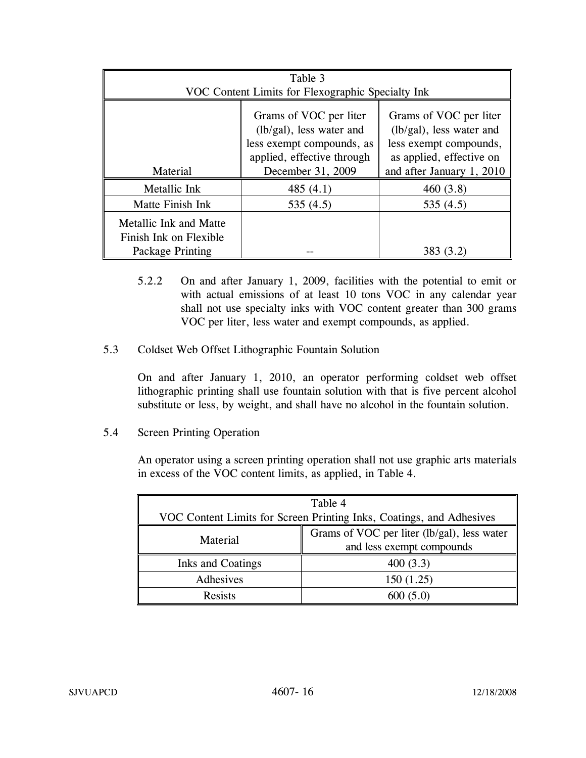| Table 3                                                              |                                                                                                          |                           |  |  |  |  |
|----------------------------------------------------------------------|----------------------------------------------------------------------------------------------------------|---------------------------|--|--|--|--|
|                                                                      | VOC Content Limits for Flexographic Specialty Ink                                                        |                           |  |  |  |  |
|                                                                      | Grams of VOC per liter<br>(lb/gal), less water and<br>less exempt compounds,<br>as applied, effective on |                           |  |  |  |  |
| Material                                                             | December 31, 2009                                                                                        | and after January 1, 2010 |  |  |  |  |
| Metallic Ink                                                         | 485 $(4.1)$                                                                                              | 460(3.8)                  |  |  |  |  |
| Matte Finish Ink                                                     | 535(4.5)                                                                                                 | 535(4.5)                  |  |  |  |  |
| Metallic Ink and Matte<br>Finish Ink on Flexible<br>Package Printing |                                                                                                          | 383 (3.2)                 |  |  |  |  |

- 5.2.2 On and after January 1, 2009, facilities with the potential to emit or with actual emissions of at least 10 tons VOC in any calendar year shall not use specialty inks with VOC content greater than 300 grams VOC per liter, less water and exempt compounds, as applied.
- 5.3 Coldset Web Offset Lithographic Fountain Solution

On and after January 1, 2010, an operator performing coldset web offset lithographic printing shall use fountain solution with that is five percent alcohol substitute or less, by weight, and shall have no alcohol in the fountain solution.

5.4 Screen Printing Operation

An operator using a screen printing operation shall not use graphic arts materials in excess of the VOC content limits, as applied, in Table 4.

| Table 4                                                              |                                             |  |  |
|----------------------------------------------------------------------|---------------------------------------------|--|--|
| VOC Content Limits for Screen Printing Inks, Coatings, and Adhesives |                                             |  |  |
|                                                                      | Grams of VOC per liter (lb/gal), less water |  |  |
| Material                                                             | and less exempt compounds                   |  |  |
| Inks and Coatings                                                    | 400(3.3)                                    |  |  |
| Adhesives                                                            | 150(1.25)                                   |  |  |
| <b>Resists</b>                                                       | 600(5.0)                                    |  |  |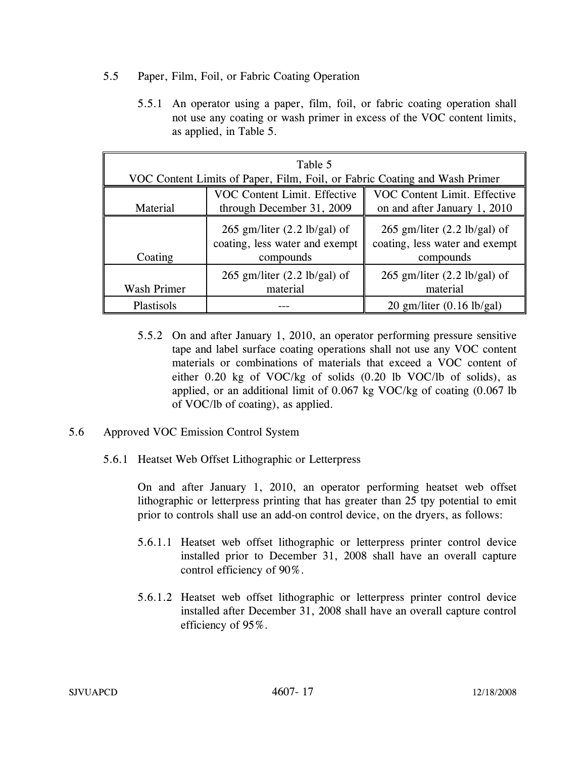- 5.5 Paper, Film, Foil, or Fabric Coating Operation
	- 5.5.1 An operator using a paper, film, foil, or fabric coating operation shall not use any coating or wash primer in excess of the VOC content limits, as applied, in Table 5.

| Table 5     |                                                                                       |                                                                                       |  |  |  |
|-------------|---------------------------------------------------------------------------------------|---------------------------------------------------------------------------------------|--|--|--|
|             | VOC Content Limits of Paper, Film, Foil, or Fabric Coating and Wash Primer            |                                                                                       |  |  |  |
|             | <b>VOC Content Limit. Effective</b>                                                   | VOC Content Limit. Effective                                                          |  |  |  |
| Material    | through December 31, 2009                                                             | on and after January 1, 2010                                                          |  |  |  |
| Coating     | 265 gm/liter $(2.2 \text{ lb/gal})$ of<br>coating, less water and exempt<br>compounds | 265 gm/liter $(2.2 \text{ lb/gal})$ of<br>coating, less water and exempt<br>compounds |  |  |  |
| Wash Primer | 265 gm/liter $(2.2 \text{ lb/gal})$ of<br>material                                    | 265 gm/liter $(2.2 \text{ lb/gal})$ of<br>material                                    |  |  |  |
| Plastisols  |                                                                                       | $20$ gm/liter $(0.16$ lb/gal)                                                         |  |  |  |

- 5.5.2 On and after January 1, 2010, an operator performing pressure sensitive tape and label surface coating operations shall not use any VOC content materials or combinations of materials that exceed a VOC content of either 0.20 kg of VOC/kg of solids (0.20 lb VOC/lb of solids), as applied, or an additional limit of 0.067 kg VOC/kg of coating (0.067 lb of VOC/lb of coating), as applied.
- 5.6 Approved VOC Emission Control System
	- 5.6.1 Heatset Web Offset Lithographic or Letterpress

On and after January 1, 2010, an operator performing heatset web offset lithographic or letterpress printing that has greater than 25 tpy potential to emit prior to controls shall use an add-on control device, on the dryers, as follows:

- 5.6.1.1 Heatset web offset lithographic or letterpress printer control device installed prior to December 31, 2008 shall have an overall capture control efficiency of 90%.
- 5.6.1.2 Heatset web offset lithographic or letterpress printer control device installed after December 31, 2008 shall have an overall capture control efficiency of 95%.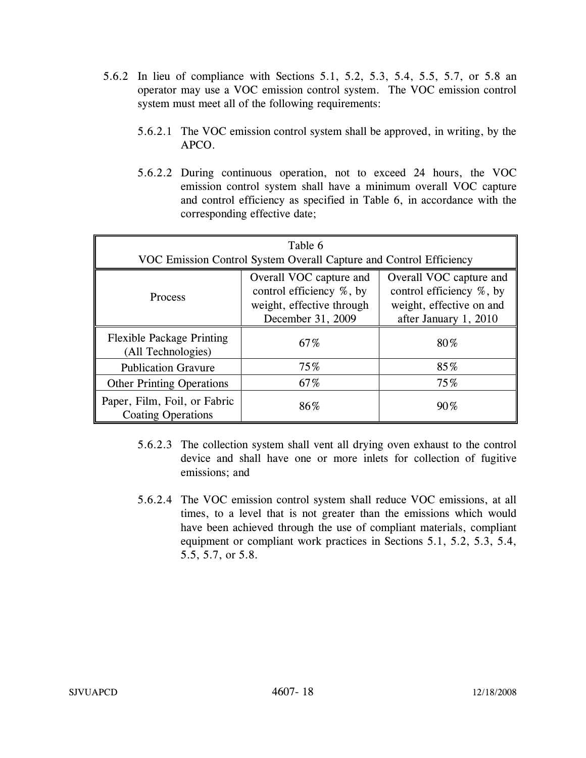- 5.6.2 In lieu of compliance with Sections 5.1, 5.2, 5.3, 5.4, 5.5, 5.7, or 5.8 an operator may use a VOC emission control system. The VOC emission control system must meet all of the following requirements:
	- 5.6.2.1 The VOC emission control system shall be approved, in writing, by the APCO.
	- 5.6.2.2 During continuous operation, not to exceed 24 hours, the VOC emission control system shall have a minimum overall VOC capture and control efficiency as specified in Table 6, in accordance with the corresponding effective date;

| Table 6<br>VOC Emission Control System Overall Capture and Control Efficiency |                                                                                                       |                                                                                                          |  |  |  |
|-------------------------------------------------------------------------------|-------------------------------------------------------------------------------------------------------|----------------------------------------------------------------------------------------------------------|--|--|--|
| Process                                                                       | Overall VOC capture and<br>control efficiency %, by<br>weight, effective through<br>December 31, 2009 | Overall VOC capture and<br>control efficiency %, by<br>weight, effective on and<br>after January 1, 2010 |  |  |  |
| <b>Flexible Package Printing</b><br>(All Technologies)                        | 67%                                                                                                   | 80%                                                                                                      |  |  |  |
| <b>Publication Gravure</b>                                                    | 75%                                                                                                   | 85%                                                                                                      |  |  |  |
| <b>Other Printing Operations</b>                                              | 67%                                                                                                   | 75%                                                                                                      |  |  |  |
| Paper, Film, Foil, or Fabric<br><b>Coating Operations</b>                     | 86%                                                                                                   | $90\%$                                                                                                   |  |  |  |

- 5.6.2.3 The collection system shall vent all drying oven exhaust to the control device and shall have one or more inlets for collection of fugitive emissions; and
- 5.6.2.4 The VOC emission control system shall reduce VOC emissions, at all times, to a level that is not greater than the emissions which would have been achieved through the use of compliant materials, compliant equipment or compliant work practices in Sections 5.1, 5.2, 5.3, 5.4, 5.5, 5.7, or 5.8.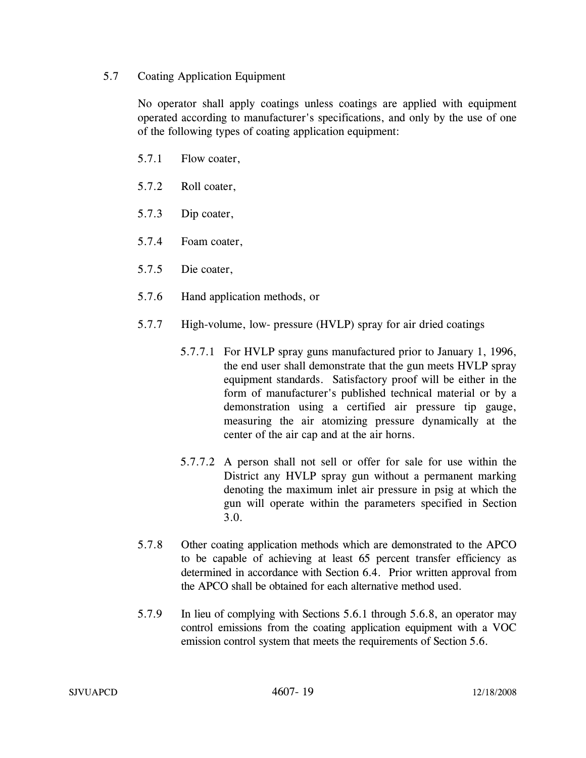## 5.7 Coating Application Equipment

No operator shall apply coatings unless coatings are applied with equipment operated according to manufacturer's specifications, and only by the use of one of the following types of coating application equipment:

- 5.7.1 Flow coater,
- 5.7.2 Roll coater,
- 5.7.3 Dip coater,
- 5.7.4 Foam coater,
- 5.7.5 Die coater,
- 5.7.6 Hand application methods, or
- 5.7.7 High-volume, low- pressure (HVLP) spray for air dried coatings
	- 5.7.7.1 For HVLP spray guns manufactured prior to January 1, 1996, the end user shall demonstrate that the gun meets HVLP spray equipment standards. Satisfactory proof will be either in the form of manufacturer's published technical material or by a demonstration using a certified air pressure tip gauge, measuring the air atomizing pressure dynamically at the center of the air cap and at the air horns.
	- 5.7.7.2 A person shall not sell or offer for sale for use within the District any HVLP spray gun without a permanent marking denoting the maximum inlet air pressure in psig at which the gun will operate within the parameters specified in Section 3.0.
- 5.7.8 Other coating application methods which are demonstrated to the APCO to be capable of achieving at least 65 percent transfer efficiency as determined in accordance with Section 6.4. Prior written approval from the APCO shall be obtained for each alternative method used.
- 5.7.9 In lieu of complying with Sections 5.6.1 through 5.6.8, an operator may control emissions from the coating application equipment with a VOC emission control system that meets the requirements of Section 5.6.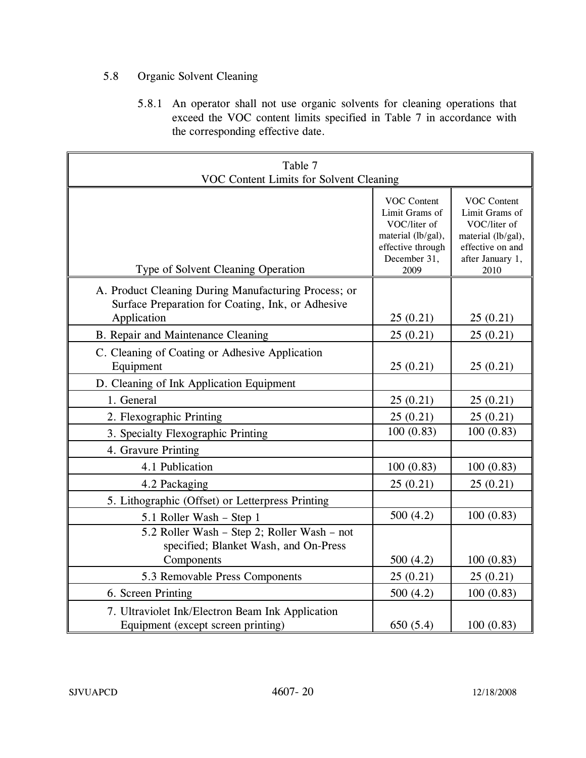# 5.8 Organic Solvent Cleaning

5.8.1 An operator shall not use organic solvents for cleaning operations that exceed the VOC content limits specified in Table 7 in accordance with the corresponding effective date.

| Table 7<br>VOC Content Limits for Solvent Cleaning                                                        |                                                                                                                         |                                                                                                                            |  |  |  |  |
|-----------------------------------------------------------------------------------------------------------|-------------------------------------------------------------------------------------------------------------------------|----------------------------------------------------------------------------------------------------------------------------|--|--|--|--|
| Type of Solvent Cleaning Operation                                                                        | <b>VOC Content</b><br>Limit Grams of<br>VOC/liter of<br>material (lb/gal),<br>effective through<br>December 31,<br>2009 | <b>VOC Content</b><br>Limit Grams of<br>VOC/liter of<br>material (lb/gal),<br>effective on and<br>after January 1,<br>2010 |  |  |  |  |
| A. Product Cleaning During Manufacturing Process; or<br>Surface Preparation for Coating, Ink, or Adhesive |                                                                                                                         |                                                                                                                            |  |  |  |  |
| Application                                                                                               | 25(0.21)                                                                                                                | 25(0.21)                                                                                                                   |  |  |  |  |
| B. Repair and Maintenance Cleaning                                                                        | 25(0.21)                                                                                                                | 25(0.21)                                                                                                                   |  |  |  |  |
| C. Cleaning of Coating or Adhesive Application<br>Equipment                                               | 25(0.21)                                                                                                                | 25(0.21)                                                                                                                   |  |  |  |  |
| D. Cleaning of Ink Application Equipment                                                                  |                                                                                                                         |                                                                                                                            |  |  |  |  |
| 1. General                                                                                                | 25(0.21)                                                                                                                | 25(0.21)                                                                                                                   |  |  |  |  |
| 2. Flexographic Printing                                                                                  | 25(0.21)                                                                                                                | 25(0.21)                                                                                                                   |  |  |  |  |
| 3. Specialty Flexographic Printing                                                                        | 100(0.83)                                                                                                               | 100(0.83)                                                                                                                  |  |  |  |  |
| 4. Gravure Printing                                                                                       |                                                                                                                         |                                                                                                                            |  |  |  |  |
| 4.1 Publication                                                                                           | 100(0.83)                                                                                                               | 100(0.83)                                                                                                                  |  |  |  |  |
| 4.2 Packaging                                                                                             | 25(0.21)                                                                                                                | 25(0.21)                                                                                                                   |  |  |  |  |
| 5. Lithographic (Offset) or Letterpress Printing                                                          |                                                                                                                         |                                                                                                                            |  |  |  |  |
| 5.1 Roller Wash - Step 1                                                                                  | 500(4.2)                                                                                                                | 100(0.83)                                                                                                                  |  |  |  |  |
| 5.2 Roller Wash - Step 2; Roller Wash - not<br>specified; Blanket Wash, and On-Press<br>Components        | 500(4.2)                                                                                                                | 100(0.83)                                                                                                                  |  |  |  |  |
| 5.3 Removable Press Components                                                                            | 25(0.21)                                                                                                                | 25(0.21)                                                                                                                   |  |  |  |  |
| 6. Screen Printing                                                                                        | 500(4.2)                                                                                                                | 100(0.83)                                                                                                                  |  |  |  |  |
| 7. Ultraviolet Ink/Electron Beam Ink Application<br>Equipment (except screen printing)                    | 650(5.4)                                                                                                                | 100(0.83)                                                                                                                  |  |  |  |  |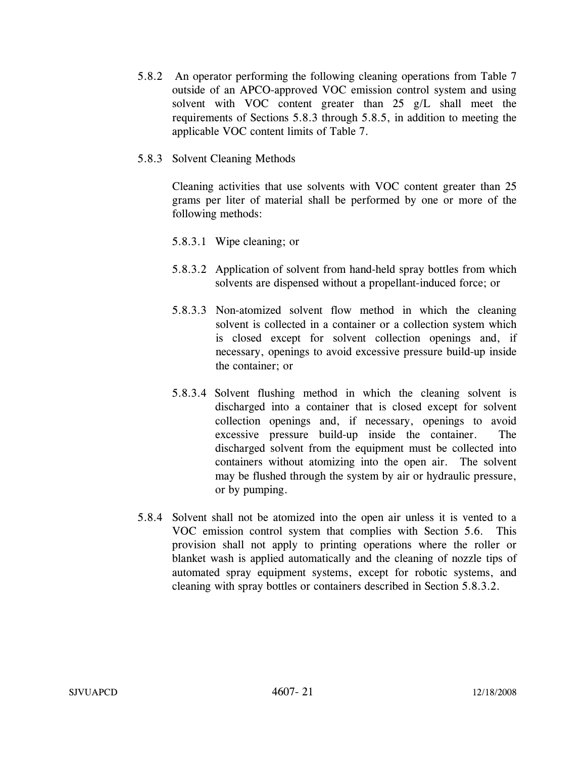5.8.2 An operator performing the following cleaning operations from Table 7 outside of an APCO-approved VOC emission control system and using solvent with VOC content greater than 25 g/L shall meet the requirements of Sections 5.8.3 through 5.8.5, in addition to meeting the applicable VOC content limits of Table 7.

## 5.8.3 Solvent Cleaning Methods

Cleaning activities that use solvents with VOC content greater than 25 grams per liter of material shall be performed by one or more of the following methods:

## 5.8.3.1 Wipe cleaning; or

- 5.8.3.2 Application of solvent from hand-held spray bottles from which solvents are dispensed without a propellant-induced force; or
- 5.8.3.3 Non-atomized solvent flow method in which the cleaning solvent is collected in a container or a collection system which is closed except for solvent collection openings and, if necessary, openings to avoid excessive pressure build-up inside the container; or
- 5.8.3.4 Solvent flushing method in which the cleaning solvent is discharged into a container that is closed except for solvent collection openings and, if necessary, openings to avoid excessive pressure build-up inside the container. The discharged solvent from the equipment must be collected into containers without atomizing into the open air. The solvent may be flushed through the system by air or hydraulic pressure, or by pumping.
- 5.8.4 Solvent shall not be atomized into the open air unless it is vented to a VOC emission control system that complies with Section 5.6. This provision shall not apply to printing operations where the roller or blanket wash is applied automatically and the cleaning of nozzle tips of automated spray equipment systems, except for robotic systems, and cleaning with spray bottles or containers described in Section 5.8.3.2.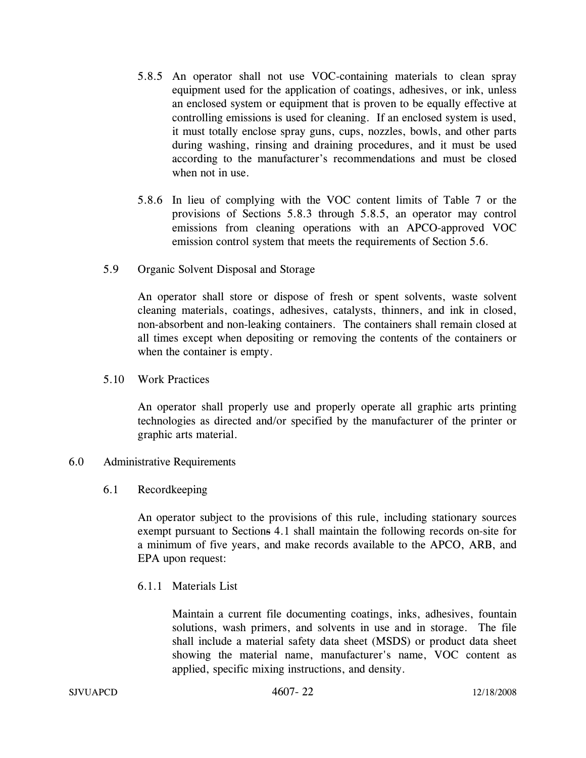- 5.8.5 An operator shall not use VOC-containing materials to clean spray equipment used for the application of coatings, adhesives, or ink, unless an enclosed system or equipment that is proven to be equally effective at controlling emissions is used for cleaning. If an enclosed system is used, it must totally enclose spray guns, cups, nozzles, bowls, and other parts during washing, rinsing and draining procedures, and it must be used according to the manufacturer's recommendations and must be closed when not in use.
- 5.8.6 In lieu of complying with the VOC content limits of Table 7 or the provisions of Sections 5.8.3 through 5.8.5, an operator may control emissions from cleaning operations with an APCO-approved VOC emission control system that meets the requirements of Section 5.6.
- 5.9 Organic Solvent Disposal and Storage

An operator shall store or dispose of fresh or spent solvents, waste solvent cleaning materials, coatings, adhesives, catalysts, thinners, and ink in closed, non-absorbent and non-leaking containers. The containers shall remain closed at all times except when depositing or removing the contents of the containers or when the container is empty.

5.10 Work Practices

An operator shall properly use and properly operate all graphic arts printing technologies as directed and/or specified by the manufacturer of the printer or graphic arts material.

## 6.0 Administrative Requirements

6.1 Recordkeeping

An operator subject to the provisions of this rule, including stationary sources exempt pursuant to Sections 4.1 shall maintain the following records on-site for a minimum of five years, and make records available to the APCO, ARB, and EPA upon request:

6.1.1 Materials List

Maintain a current file documenting coatings, inks, adhesives, fountain solutions, wash primers, and solvents in use and in storage. The file shall include a material safety data sheet (MSDS) or product data sheet showing the material name, manufacturer's name, VOC content as applied, specific mixing instructions, and density.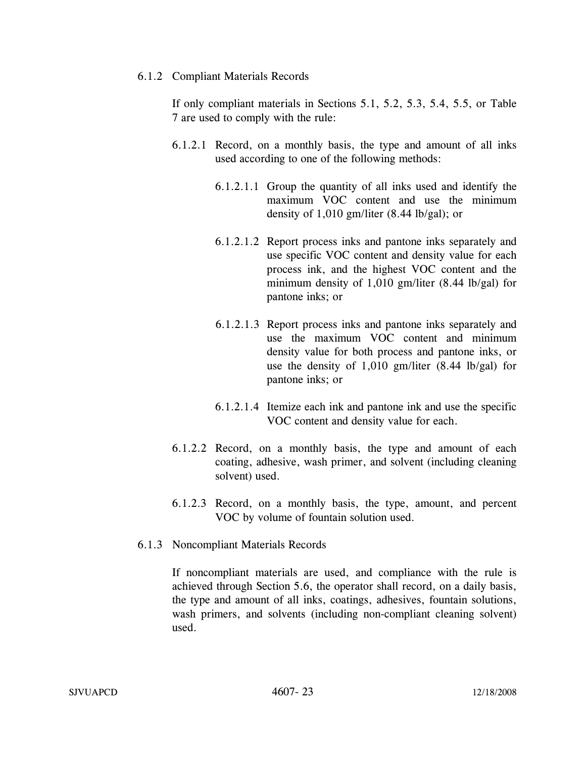#### 6.1.2 Compliant Materials Records

If only compliant materials in Sections 5.1, 5.2, 5.3, 5.4, 5.5, or Table 7 are used to comply with the rule:

- 6.1.2.1 Record, on a monthly basis, the type and amount of all inks used according to one of the following methods:
	- 6.1.2.1.1 Group the quantity of all inks used and identify the maximum VOC content and use the minimum density of  $1,010$  gm/liter  $(8.44 \text{ lb/gal})$ ; or
	- 6.1.2.1.2 Report process inks and pantone inks separately and use specific VOC content and density value for each process ink, and the highest VOC content and the minimum density of 1,010 gm/liter (8.44 lb/gal) for pantone inks; or
	- 6.1.2.1.3 Report process inks and pantone inks separately and use the maximum VOC content and minimum density value for both process and pantone inks, or use the density of 1,010 gm/liter (8.44 lb/gal) for pantone inks; or
	- 6.1.2.1.4 Itemize each ink and pantone ink and use the specific VOC content and density value for each.
- 6.1.2.2 Record, on a monthly basis, the type and amount of each coating, adhesive, wash primer, and solvent (including cleaning solvent) used.
- 6.1.2.3 Record, on a monthly basis, the type, amount, and percent VOC by volume of fountain solution used.
- 6.1.3 Noncompliant Materials Records

If noncompliant materials are used, and compliance with the rule is achieved through Section 5.6, the operator shall record, on a daily basis, the type and amount of all inks, coatings, adhesives, fountain solutions, wash primers, and solvents (including non-compliant cleaning solvent) used.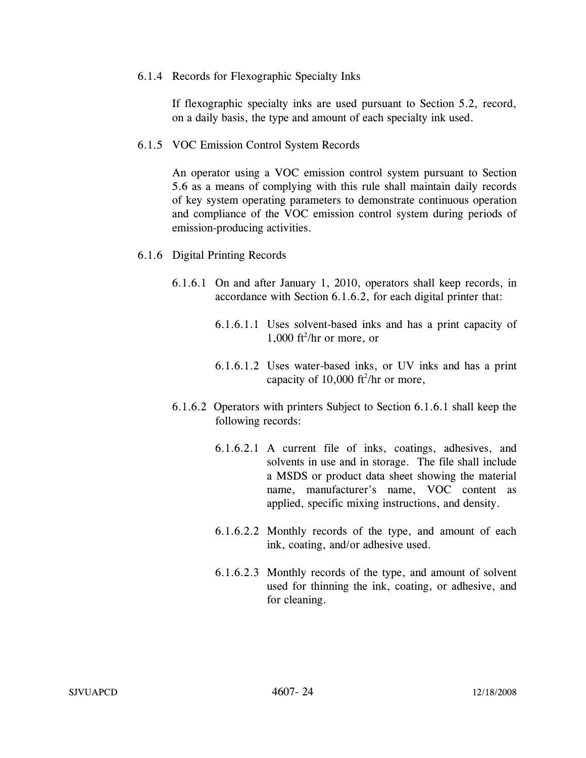6.1.4 Records for Flexographic Specialty Inks

If flexographic specialty inks are used pursuant to Section 5.2, record, on a daily basis, the type and amount of each specialty ink used.

6.1.5 VOC Emission Control System Records

An operator using a VOC emission control system pursuant to Section 5.6 as a means of complying with this rule shall maintain daily records of key system operating parameters to demonstrate continuous operation and compliance of the VOC emission control system during periods of emission-producing activities.

- 6.1.6 Digital Printing Records
	- 6.1.6.1 On and after January 1, 2010, operators shall keep records, in accordance with Section 6.1.6.2, for each digital printer that:
		- 6.1.6.1.1 Uses solvent-based inks and has a print capacity of  $1,000$  ft<sup>2</sup>/hr or more, or
		- 6.1.6.1.2 Uses water-based inks, or UV inks and has a print capacity of  $10,000$  ft<sup>2</sup>/hr or more,
	- 6.1.6.2 Operators with printers Subject to Section 6.1.6.1 shall keep the following records:
		- 6.1.6.2.1 A current file of inks, coatings, adhesives, and solvents in use and in storage. The file shall include a MSDS or product data sheet showing the material name, manufacturer's name, VOC content as applied, specific mixing instructions, and density.
		- 6.1.6.2.2 Monthly records of the type, and amount of each ink, coating, and/or adhesive used.
		- 6.1.6.2.3 Monthly records of the type, and amount of solvent used for thinning the ink, coating, or adhesive, and for cleaning.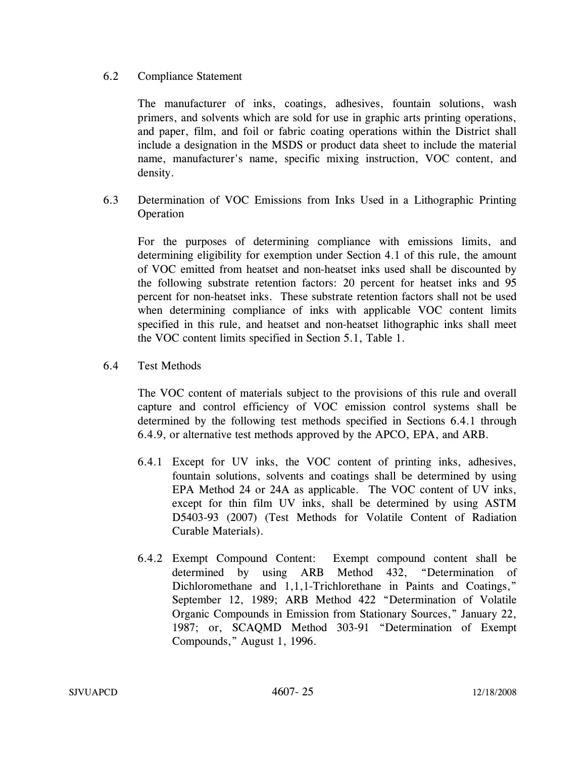## 6.2 Compliance Statement

The manufacturer of inks, coatings, adhesives, fountain solutions, wash primers, and solvents which are sold for use in graphic arts printing operations, and paper, film, and foil or fabric coating operations within the District shall include a designation in the MSDS or product data sheet to include the material name, manufacturer's name, specific mixing instruction, VOC content, and density.

6.3 Determination of VOC Emissions from Inks Used in a Lithographic Printing Operation

For the purposes of determining compliance with emissions limits, and determining eligibility for exemption under Section 4.1 of this rule, the amount of VOC emitted from heatset and non-heatset inks used shall be discounted by the following substrate retention factors: 20 percent for heatset inks and 95 percent for non-heatset inks. These substrate retention factors shall not be used when determining compliance of inks with applicable VOC content limits specified in this rule, and heatset and non-heatset lithographic inks shall meet the VOC content limits specified in Section 5.1, Table 1.

6.4 Test Methods

 The VOC content of materials subject to the provisions of this rule and overall capture and control efficiency of VOC emission control systems shall be determined by the following test methods specified in Sections 6.4.1 through 6.4.9, or alternative test methods approved by the APCO, EPA, and ARB.

- 6.4.1 Except for UV inks, the VOC content of printing inks, adhesives, fountain solutions, solvents and coatings shall be determined by using EPA Method 24 or 24A as applicable. The VOC content of UV inks, except for thin film UV inks, shall be determined by using ASTM D5403-93 (2007) (Test Methods for Volatile Content of Radiation Curable Materials).
- 6.4.2 Exempt Compound Content: Exempt compound content shall be determined by using ARB Method 432, "Determination of Dichloromethane and 1,1,1-Trichlorethane in Paints and Coatings," September 12, 1989; ARB Method 422 "Determination of Volatile Organic Compounds in Emission from Stationary Sources," January 22, 1987; or, SCAQMD Method 303-91 "Determination of Exempt Compounds," August 1, 1996.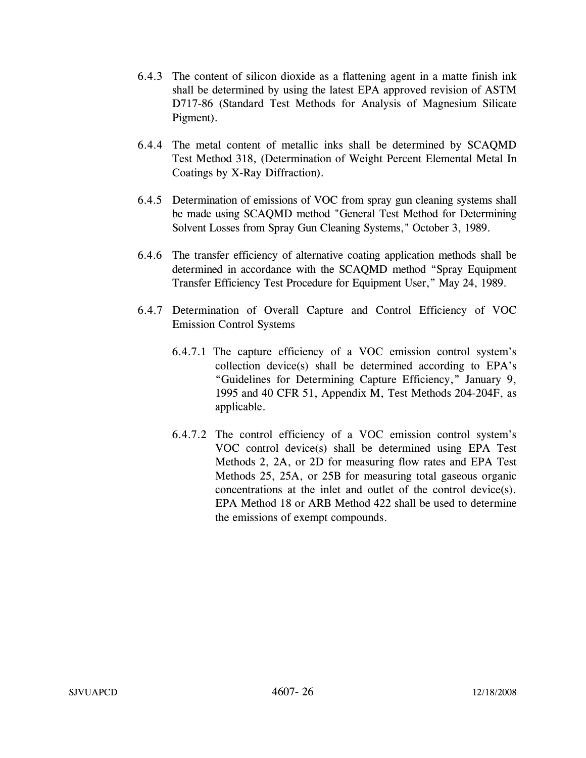- 6.4.3 The content of silicon dioxide as a flattening agent in a matte finish ink shall be determined by using the latest EPA approved revision of ASTM D717-86 (Standard Test Methods for Analysis of Magnesium Silicate Pigment).
- 6.4.4 The metal content of metallic inks shall be determined by SCAQMD Test Method 318, (Determination of Weight Percent Elemental Metal In Coatings by X-Ray Diffraction).
- 6.4.5 Determination of emissions of VOC from spray gun cleaning systems shall be made using SCAQMD method "General Test Method for Determining Solvent Losses from Spray Gun Cleaning Systems," October 3, 1989.
- 6.4.6 The transfer efficiency of alternative coating application methods shall be determined in accordance with the SCAQMD method "Spray Equipment Transfer Efficiency Test Procedure for Equipment User," May 24, 1989.
- 6.4.7 Determination of Overall Capture and Control Efficiency of VOC Emission Control Systems
	- 6.4.7.1 The capture efficiency of a VOC emission control system's collection device(s) shall be determined according to EPA's "Guidelines for Determining Capture Efficiency," January 9, 1995 and 40 CFR 51, Appendix M, Test Methods 204-204F, as applicable.
	- 6.4.7.2 The control efficiency of a VOC emission control system's VOC control device(s) shall be determined using EPA Test Methods 2, 2A, or 2D for measuring flow rates and EPA Test Methods 25, 25A, or 25B for measuring total gaseous organic concentrations at the inlet and outlet of the control device(s). EPA Method 18 or ARB Method 422 shall be used to determine the emissions of exempt compounds.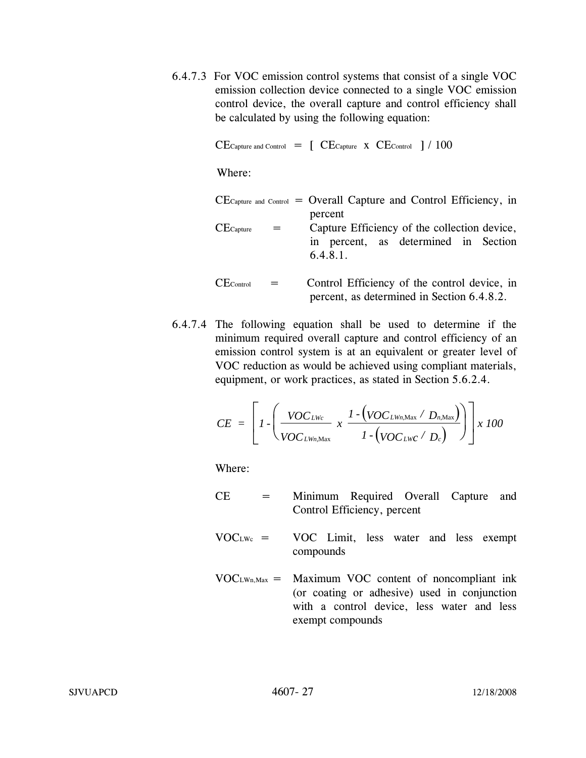6.4.7.3 For VOC emission control systems that consist of a single VOC emission collection device connected to a single VOC emission control device, the overall capture and control efficiency shall be calculated by using the following equation:

 $CE$ Capture and Control  $=$   $\left[$   $CE$ Capture  $\left[$   $\times$   $CE$ Control  $\left[$   $\right]$   $/$   $100$ 

Where:

| $CE_{\text{capture and Control}}$ = Overall Capture and Control Efficiency, in |         |         |  |                                              |  |  |
|--------------------------------------------------------------------------------|---------|---------|--|----------------------------------------------|--|--|
|                                                                                |         | percent |  |                                              |  |  |
| $CE$ Capture                                                                   | $=$ $-$ |         |  | Capture Efficiency of the collection device, |  |  |
|                                                                                |         |         |  | in noncent on determined in Cootian          |  |  |

in percent, as determined in Section 6.4.8.1.

- $CE_{Control}$  = Control Efficiency of the control device, in percent, as determined in Section 6.4.8.2.
- 6.4.7.4 The following equation shall be used to determine if the minimum required overall capture and control efficiency of an emission control system is at an equivalent or greater level of VOC reduction as would be achieved using compliant materials, equipment, or work practices, as stated in Section 5.6.2.4.

$$
CE = \left[I - \left(\frac{VOC_{LWc}}{VOC_{LWn, \text{Max}}} \times \frac{1 - \left(VOC_{LWn, \text{Max}} / D_{n, \text{Max}}\right)}{1 - \left(VOC_{LWc} / D_c\right)}\right)\right] \times 100
$$

Where:

- CE = Minimum Required Overall Capture and Control Efficiency, percent
- $VOC<sub>LWc</sub> = VOC$  Limit, less water and less exempt compounds
- $VOC<sub>LWn,Max</sub> =$  Maximum VOC content of noncompliant ink (or coating or adhesive) used in conjunction with a control device, less water and less exempt compounds